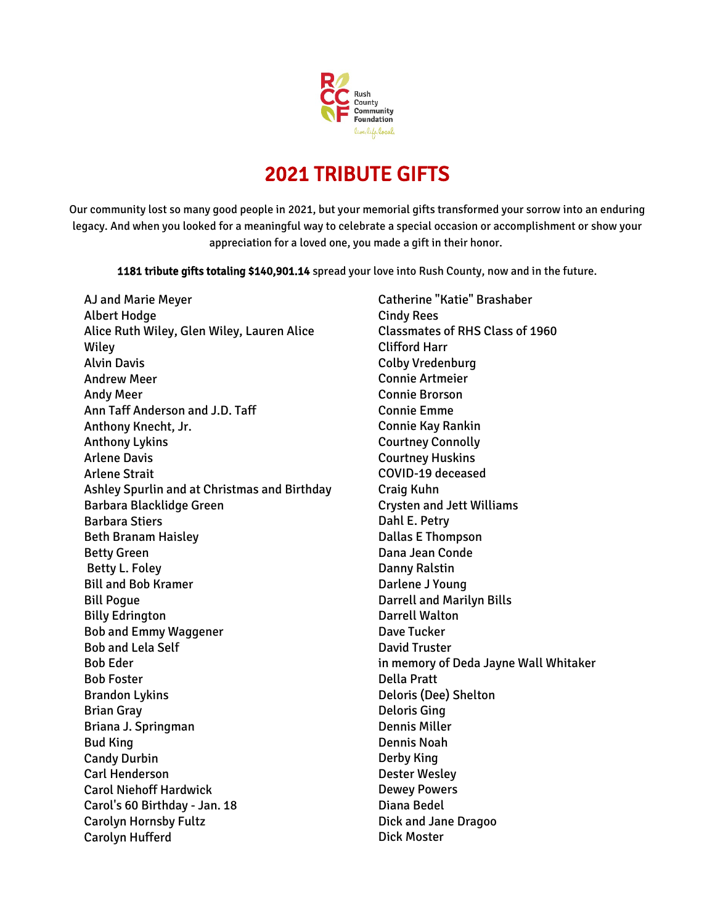

## 2021 TRIBUTE GIFTS

Our community lost so many good people in 2021, but your memorial gifts transformed your sorrow into an enduring legacy. And when you looked for a meaningful way to celebrate a special occasion or accomplishment or show your appreciation for a loved one, you made a gift in their honor.

1181 tribute gifts totaling \$140,901.14 spread your love into Rush County, now and in the future.

AJ and Marie Meyer Albert Hodge Alice Ruth Wiley, Glen Wiley, Lauren Alice Wiley Alvin Davis Andrew Meer Andy Meer Ann Taff Anderson and J.D. Taff Anthony Knecht, Jr. Anthony Lykins Arlene Davis Arlene Strait Ashley Spurlin and at Christmas and Birthday Barbara Blacklidge Green Barbara Stiers Beth Branam Haisley Betty Green Betty L. Foley Bill and Bob Kramer Bill Pogue Billy Edrington Bob and Emmy Waggener Bob and Lela Self Bob Eder Bob Foster Brandon Lykins Brian Gray Briana J. Springman Bud King Candy Durbin Carl Henderson Carol Niehoff Hardwick Carol's 60 Birthday - Jan. 18 Carolyn Hornsby Fultz Carolyn Hufferd

Catherine "Katie" Brashaber Cindy Rees Classmates of RHS Class of 1960 Clifford Harr Colby Vredenburg Connie Artmeier Connie Brorson Connie Emme Connie Kay Rankin Courtney Connolly Courtney Huskins COVID-19 deceased Craig Kuhn Crysten and Jett Williams Dahl E. Petry Dallas E Thompson Dana Jean Conde Danny Ralstin Darlene J Young Darrell and Marilyn Bills Darrell Walton Dave Tucker David Truster in memory of Deda Jayne Wall Whitaker Della Pratt Deloris (Dee) Shelton Deloris Ging Dennis Miller Dennis Noah Derby King Dester Wesley Dewey Powers Diana Bedel Dick and Jane Dragoo Dick Moster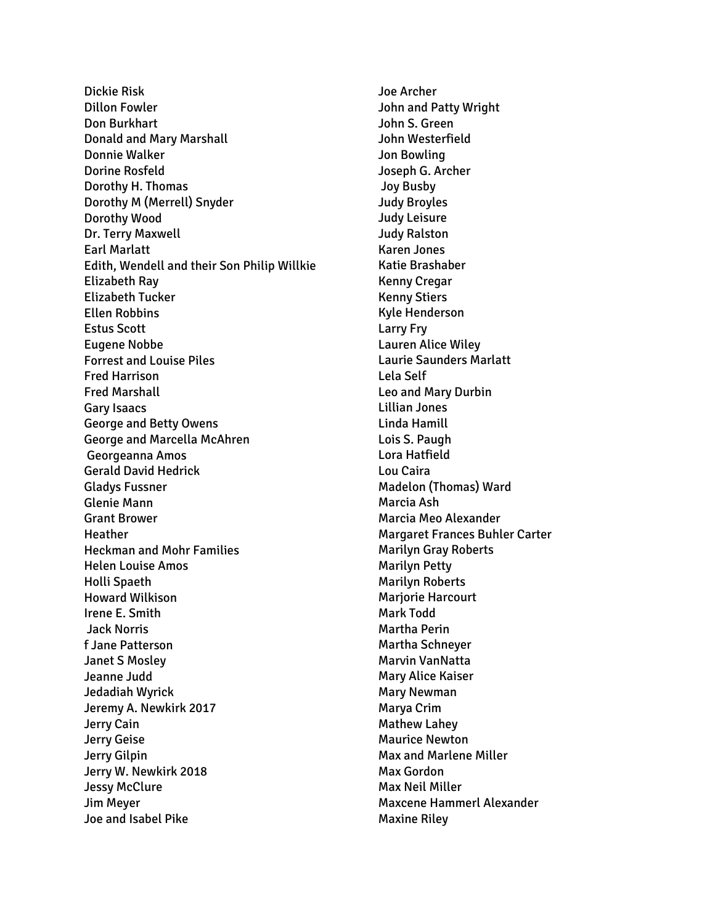Dickie Risk Dillon Fowler Don Burkhart Donald and Mary Marshall Donnie Walker Dorine Rosfeld Dorothy H. Thomas Dorothy M (Merrell) Snyder Dorothy Wood Dr. Terry Maxwell Earl Marlatt Edith, Wendell and their Son Philip Willkie Elizabeth Ray Elizabeth Tucker Ellen Robbins Estus Scott Eugene Nobbe Forrest and Louise Piles Fred Harrison Fred Marshall Gary Isaacs George and Betty Owens George and Marcella McAhren Georgeanna Amos Gerald David Hedrick Gladys Fussner Glenie Mann Grant Brower **Heather** Heckman and Mohr Families Helen Louise Amos Holli Spaeth Howard Wilkison Irene E. Smith Jack Norris f Jane Patterson Janet S Mosley Jeanne Judd Jedadiah Wyrick Jeremy A. Newkirk 2017 Jerry Cain Jerry Geise Jerry Gilpin Jerry W. Newkirk 2018 Jessy McClure Jim Meyer Joe and Isabel Pike

Joe Archer John and Patty Wright John S. Green John Westerfield Jon Bowling Joseph G. Archer Joy Busby Judy Broyles Judy Leisure Judy Ralston Karen Jones Katie Brashaber Kenny Cregar Kenny Stiers Kyle Henderson Larry Fry Lauren Alice Wiley Laurie Saunders Marlatt Lela Self Leo and Mary Durbin Lillian Jones Linda Hamill Lois S. Paugh Lora Hatfield Lou Caira Madelon (Thomas) Ward Marcia Ash Marcia Meo Alexander Margaret Frances Buhler Carter Marilyn Gray Roberts Marilyn Petty Marilyn Roberts Marjorie Harcourt Mark Todd Martha Perin Martha Schneyer Marvin VanNatta Mary Alice Kaiser Mary Newman Marya Crim Mathew Lahey Maurice Newton Max and Marlene Miller Max Gordon Max Neil Miller Maxcene Hammerl Alexander Maxine Riley